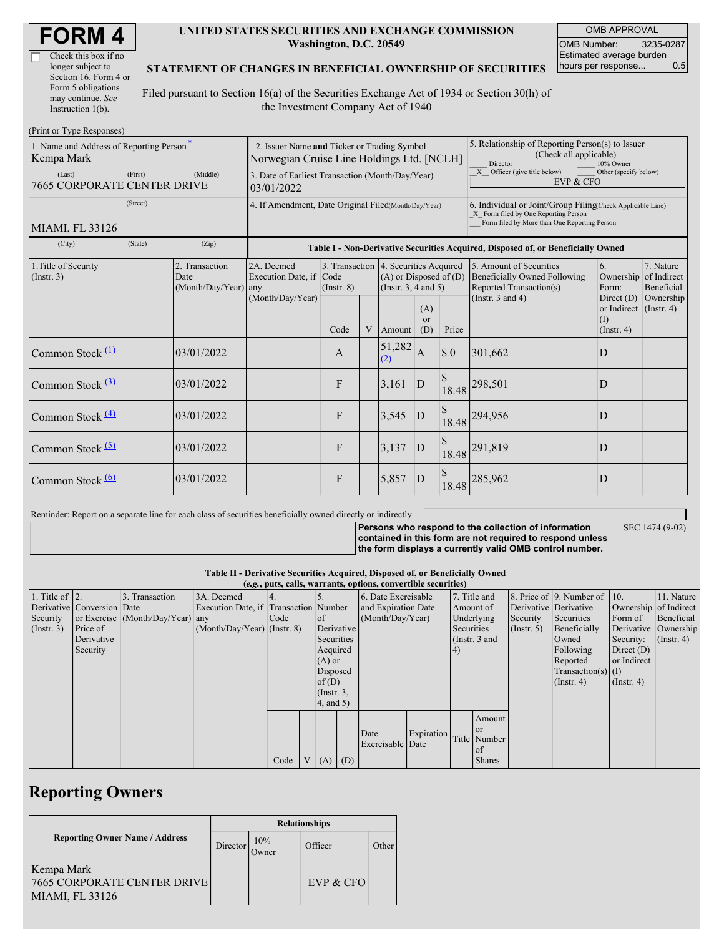| Check this box if no  |
|-----------------------|
| longer subject to     |
| Section 16. Form 4 or |
| Form 5 obligations    |
| may continue. See     |
| Instruction $1(b)$ .  |

#### **UNITED STATES SECURITIES AND EXCHANGE COMMISSION Washington, D.C. 20549**

OMB APPROVAL OMB Number: 3235-0287 Estimated average burden hours per response... 0.5

### **STATEMENT OF CHANGES IN BENEFICIAL OWNERSHIP OF SECURITIES**

Filed pursuant to Section 16(a) of the Securities Exchange Act of 1934 or Section 30(h) of the Investment Company Act of 1940

| (Print or Type Responses)                              |                                                                                           |                                                                                  |                 |   |                                                                                                 |                                                                                                                                                    |                             |                                                                                           |                                                              |                                        |
|--------------------------------------------------------|-------------------------------------------------------------------------------------------|----------------------------------------------------------------------------------|-----------------|---|-------------------------------------------------------------------------------------------------|----------------------------------------------------------------------------------------------------------------------------------------------------|-----------------------------|-------------------------------------------------------------------------------------------|--------------------------------------------------------------|----------------------------------------|
| 1. Name and Address of Reporting Person-<br>Kempa Mark | 2. Issuer Name and Ticker or Trading Symbol<br>Norwegian Cruise Line Holdings Ltd. [NCLH] |                                                                                  |                 |   |                                                                                                 | 5. Relationship of Reporting Person(s) to Issuer<br>(Check all applicable)<br>Director<br>10% Owner                                                |                             |                                                                                           |                                                              |                                        |
| (First)<br>(Last)<br>7665 CORPORATE CENTER DRIVE       | 3. Date of Earliest Transaction (Month/Day/Year)<br>03/01/2022                            |                                                                                  |                 |   |                                                                                                 | Officer (give title below)<br>X<br>Other (specify below)<br>EVP & CFO                                                                              |                             |                                                                                           |                                                              |                                        |
| (Street)<br>MIAMI, FL 33126                            | 4. If Amendment, Date Original Filed(Month/Day/Year)                                      |                                                                                  |                 |   |                                                                                                 | 6. Individual or Joint/Group Filing(Check Applicable Line)<br>X Form filed by One Reporting Person<br>Form filed by More than One Reporting Person |                             |                                                                                           |                                                              |                                        |
| (State)<br>(City)                                      | (Zip)                                                                                     | Table I - Non-Derivative Securities Acquired, Disposed of, or Beneficially Owned |                 |   |                                                                                                 |                                                                                                                                                    |                             |                                                                                           |                                                              |                                        |
| 1. Title of Security<br>(Insert. 3)                    | 2. Transaction<br>Date<br>$(Month/Day/Year)$ any                                          | 2A. Deemed<br>Execution Date, if Code                                            | $($ Instr. $8)$ |   | 3. Transaction 4. Securities Acquired<br>$(A)$ or Disposed of $(D)$<br>(Instr. $3, 4$ and $5$ ) |                                                                                                                                                    |                             | 5. Amount of Securities<br><b>Beneficially Owned Following</b><br>Reported Transaction(s) | 6.<br>Ownership<br>Form:                                     | 7. Nature<br>of Indirect<br>Beneficial |
|                                                        |                                                                                           | (Month/Day/Year)                                                                 | Code            | V | Amount                                                                                          | (A)<br><sub>or</sub><br>(D)                                                                                                                        | Price                       | (Instr. $3$ and $4$ )                                                                     | Direct $(D)$<br>or Indirect (Instr. 4)<br>(I)<br>(Insert, 4) | Ownership                              |
| Common Stock $(1)$                                     | 03/01/2022                                                                                |                                                                                  | $\mathbf{A}$    |   | 51,282<br>(2)                                                                                   | A                                                                                                                                                  | $\boldsymbol{\mathsf{S}}$ 0 | 301,662                                                                                   | D                                                            |                                        |
| Common Stock <sup>(3)</sup>                            | 03/01/2022                                                                                |                                                                                  | F               |   | 3,161                                                                                           | D                                                                                                                                                  | $\mathcal{S}$<br>18.48      | 298,501                                                                                   | D                                                            |                                        |
| Common Stock $\frac{(4)}{4}$                           | 03/01/2022                                                                                |                                                                                  | F               |   | 3,545                                                                                           | D                                                                                                                                                  |                             | 18.48 294,956                                                                             | D                                                            |                                        |
| Common Stock $(5)$                                     | 03/01/2022                                                                                |                                                                                  | F               |   | 3,137                                                                                           | D                                                                                                                                                  |                             | 18.48 291,819                                                                             | D                                                            |                                        |
| Common Stock $\frac{(6)}{6}$                           | 03/01/2022                                                                                |                                                                                  | F               |   | 5,857                                                                                           | D                                                                                                                                                  | 18.48                       | 285,962                                                                                   | D                                                            |                                        |

Reminder: Report on a separate line for each class of securities beneficially owned directly or indirectly.

**Persons who respond to the collection of information contained in this form are not required to respond unless**

SEC 1474 (9-02)

**the form displays a currently valid OMB control number.**

**Table II - Derivative Securities Acquired, Disposed of, or Beneficially Owned**

|                        | (e.g., puts, calls, warrants, options, convertible securities) |                                  |                                       |      |  |                 |                     |                          |                           |            |               |                       |                              |               |            |
|------------------------|----------------------------------------------------------------|----------------------------------|---------------------------------------|------|--|-----------------|---------------------|--------------------------|---------------------------|------------|---------------|-----------------------|------------------------------|---------------|------------|
| 1. Title of $\vert$ 2. |                                                                | 3. Transaction                   | 3A. Deemed                            |      |  |                 |                     | 6. Date Exercisable      |                           |            | 7. Title and  |                       | 8. Price of 9. Number of 10. |               | 11. Nature |
|                        | Derivative Conversion Date                                     |                                  | Execution Date, if Transaction Number |      |  |                 | and Expiration Date |                          | Amount of                 |            |               | Derivative Derivative | Ownership of Indirect        |               |            |
| Security               |                                                                | or Exercise (Month/Day/Year) any |                                       | Code |  | <b>of</b>       | (Month/Day/Year)    |                          |                           | Underlying | Security      | Securities            | Form of                      | Beneficial    |            |
| $($ Instr. 3 $)$       | Price of                                                       |                                  | $(Month/Day/Year)$ (Instr. 8)         |      |  |                 | Derivative          |                          | Securities<br>(Insert, 5) |            | Beneficially  | Derivative Ownership  |                              |               |            |
|                        | Derivative                                                     |                                  |                                       |      |  |                 | Securities          |                          | (Instr. $3$ and           |            | Owned         | Security:             | $($ Instr. 4)                |               |            |
|                        | Security                                                       |                                  |                                       |      |  | Acquired        |                     |                          |                           | 4)         |               |                       | Following                    | Direct $(D)$  |            |
|                        |                                                                |                                  |                                       |      |  |                 | $(A)$ or            |                          |                           |            |               | Reported              | or Indirect                  |               |            |
|                        |                                                                |                                  |                                       |      |  | Disposed        |                     |                          |                           |            |               | Transaction(s) $(I)$  |                              |               |            |
|                        |                                                                |                                  |                                       |      |  | of $(D)$        |                     |                          |                           |            |               |                       | $($ Instr. 4 $)$             | $($ Instr. 4) |            |
|                        |                                                                |                                  |                                       |      |  | $($ Instr. $3,$ |                     |                          |                           |            |               |                       |                              |               |            |
|                        |                                                                |                                  |                                       |      |  | 4, and 5)       |                     |                          |                           |            |               |                       |                              |               |            |
|                        |                                                                |                                  |                                       |      |  |                 |                     |                          |                           |            | Amount        |                       |                              |               |            |
|                        |                                                                |                                  |                                       |      |  |                 |                     |                          |                           |            | <b>or</b>     |                       |                              |               |            |
|                        |                                                                |                                  |                                       |      |  |                 |                     | Date<br>Exercisable Date | Expiration                |            | Title Number  |                       |                              |               |            |
|                        |                                                                |                                  |                                       |      |  |                 |                     |                          |                           |            | l of          |                       |                              |               |            |
|                        |                                                                |                                  |                                       | Code |  | $V(A)$ (D)      |                     |                          |                           |            | <b>Shares</b> |                       |                              |               |            |

## **Reporting Owners**

|                                                                     | <b>Relationships</b> |                      |           |       |  |  |  |  |
|---------------------------------------------------------------------|----------------------|----------------------|-----------|-------|--|--|--|--|
| <b>Reporting Owner Name / Address</b>                               | Director             | 10%<br><b>J</b> wner | Officer   | Other |  |  |  |  |
| Kempa Mark<br><b>7665 CORPORATE CENTER DRIVE</b><br>MIAMI, FL 33126 |                      |                      | EVP & CFO |       |  |  |  |  |